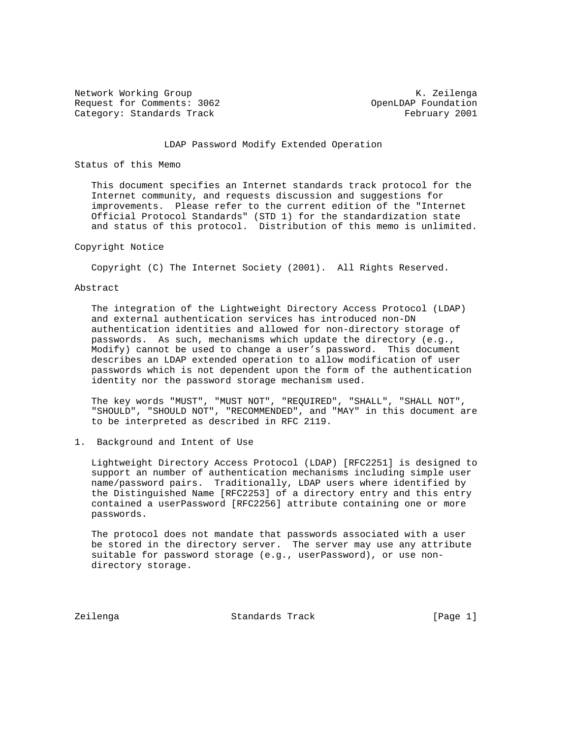Network Working Group Network Working Group Network Constants and Manual Methods and Manual Methods and Manual Request for Comments: 3062 Comments: 3062 Category: Standards Track February 2001

# LDAP Password Modify Extended Operation

#### Status of this Memo

 This document specifies an Internet standards track protocol for the Internet community, and requests discussion and suggestions for improvements. Please refer to the current edition of the "Internet Official Protocol Standards" (STD 1) for the standardization state and status of this protocol. Distribution of this memo is unlimited.

# Copyright Notice

Copyright (C) The Internet Society (2001). All Rights Reserved.

# Abstract

 The integration of the Lightweight Directory Access Protocol (LDAP) and external authentication services has introduced non-DN authentication identities and allowed for non-directory storage of passwords. As such, mechanisms which update the directory (e.g., Modify) cannot be used to change a user's password. This document describes an LDAP extended operation to allow modification of user passwords which is not dependent upon the form of the authentication identity nor the password storage mechanism used.

 The key words "MUST", "MUST NOT", "REQUIRED", "SHALL", "SHALL NOT", "SHOULD", "SHOULD NOT", "RECOMMENDED", and "MAY" in this document are to be interpreted as described in RFC 2119.

1. Background and Intent of Use

 Lightweight Directory Access Protocol (LDAP) [RFC2251] is designed to support an number of authentication mechanisms including simple user name/password pairs. Traditionally, LDAP users where identified by the Distinguished Name [RFC2253] of a directory entry and this entry contained a userPassword [RFC2256] attribute containing one or more passwords.

 The protocol does not mandate that passwords associated with a user be stored in the directory server. The server may use any attribute suitable for password storage (e.g., userPassword), or use non directory storage.

Zeilenga Standards Track [Page 1]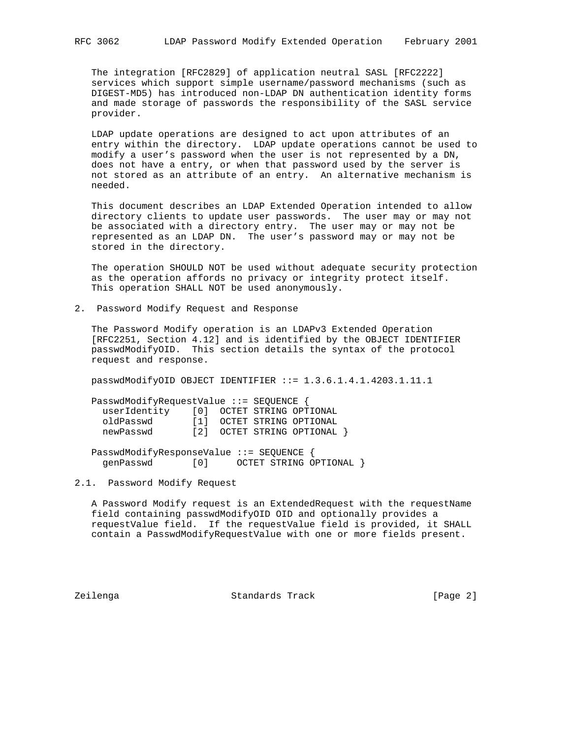The integration [RFC2829] of application neutral SASL [RFC2222] services which support simple username/password mechanisms (such as DIGEST-MD5) has introduced non-LDAP DN authentication identity forms and made storage of passwords the responsibility of the SASL service provider.

 LDAP update operations are designed to act upon attributes of an entry within the directory. LDAP update operations cannot be used to modify a user's password when the user is not represented by a DN, does not have a entry, or when that password used by the server is not stored as an attribute of an entry. An alternative mechanism is needed.

 This document describes an LDAP Extended Operation intended to allow directory clients to update user passwords. The user may or may not be associated with a directory entry. The user may or may not be represented as an LDAP DN. The user's password may or may not be stored in the directory.

 The operation SHOULD NOT be used without adequate security protection as the operation affords no privacy or integrity protect itself. This operation SHALL NOT be used anonymously.

2. Password Modify Request and Response

 The Password Modify operation is an LDAPv3 Extended Operation [RFC2251, Section 4.12] and is identified by the OBJECT IDENTIFIER passwdModifyOID. This section details the syntax of the protocol request and response.

passwdModifyOID OBJECT IDENTIFIER ::= 1.3.6.1.4.1.4203.1.11.1

 PasswdModifyRequestValue ::= SEQUENCE { userIdentity [0] OCTET STRING OPTIONAL oldPasswd [1] OCTET STRING OPTIONAL newPasswd [2] OCTET STRING OPTIONAL }

 PasswdModifyResponseValue ::= SEQUENCE { genPasswd [0] OCTET STRING OPTIONAL }

#### 2.1. Password Modify Request

 A Password Modify request is an ExtendedRequest with the requestName field containing passwdModifyOID OID and optionally provides a requestValue field. If the requestValue field is provided, it SHALL contain a PasswdModifyRequestValue with one or more fields present.

Zeilenga Standards Track [Page 2]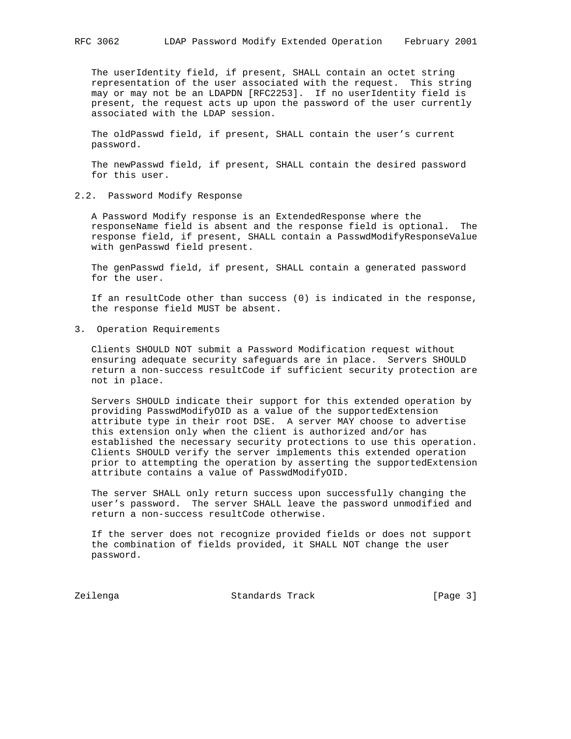The userIdentity field, if present, SHALL contain an octet string representation of the user associated with the request. This string may or may not be an LDAPDN [RFC2253]. If no userIdentity field is present, the request acts up upon the password of the user currently associated with the LDAP session.

 The oldPasswd field, if present, SHALL contain the user's current password.

 The newPasswd field, if present, SHALL contain the desired password for this user.

2.2. Password Modify Response

 A Password Modify response is an ExtendedResponse where the responseName field is absent and the response field is optional. The response field, if present, SHALL contain a PasswdModifyResponseValue with genPasswd field present.

 The genPasswd field, if present, SHALL contain a generated password for the user.

 If an resultCode other than success (0) is indicated in the response, the response field MUST be absent.

3. Operation Requirements

 Clients SHOULD NOT submit a Password Modification request without ensuring adequate security safeguards are in place. Servers SHOULD return a non-success resultCode if sufficient security protection are not in place.

 Servers SHOULD indicate their support for this extended operation by providing PasswdModifyOID as a value of the supportedExtension attribute type in their root DSE. A server MAY choose to advertise this extension only when the client is authorized and/or has established the necessary security protections to use this operation. Clients SHOULD verify the server implements this extended operation prior to attempting the operation by asserting the supportedExtension attribute contains a value of PasswdModifyOID.

 The server SHALL only return success upon successfully changing the user's password. The server SHALL leave the password unmodified and return a non-success resultCode otherwise.

 If the server does not recognize provided fields or does not support the combination of fields provided, it SHALL NOT change the user password.

Zeilenga Standards Track [Page 3]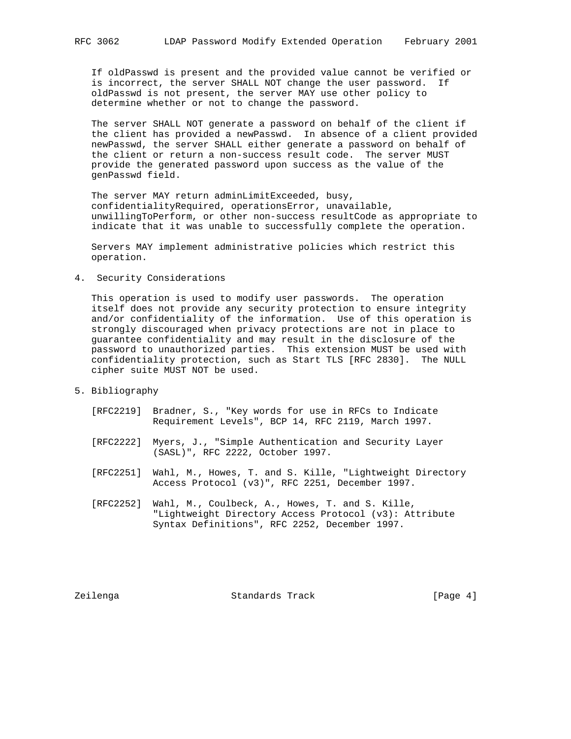If oldPasswd is present and the provided value cannot be verified or is incorrect, the server SHALL NOT change the user password. If oldPasswd is not present, the server MAY use other policy to determine whether or not to change the password.

 The server SHALL NOT generate a password on behalf of the client if the client has provided a newPasswd. In absence of a client provided newPasswd, the server SHALL either generate a password on behalf of the client or return a non-success result code. The server MUST provide the generated password upon success as the value of the genPasswd field.

 The server MAY return adminLimitExceeded, busy, confidentialityRequired, operationsError, unavailable, unwillingToPerform, or other non-success resultCode as appropriate to indicate that it was unable to successfully complete the operation.

 Servers MAY implement administrative policies which restrict this operation.

#### 4. Security Considerations

 This operation is used to modify user passwords. The operation itself does not provide any security protection to ensure integrity and/or confidentiality of the information. Use of this operation is strongly discouraged when privacy protections are not in place to guarantee confidentiality and may result in the disclosure of the password to unauthorized parties. This extension MUST be used with confidentiality protection, such as Start TLS [RFC 2830]. The NULL cipher suite MUST NOT be used.

- 5. Bibliography
	- [RFC2219] Bradner, S., "Key words for use in RFCs to Indicate Requirement Levels", BCP 14, RFC 2119, March 1997.
	- [RFC2222] Myers, J., "Simple Authentication and Security Layer (SASL)", RFC 2222, October 1997.
	- [RFC2251] Wahl, M., Howes, T. and S. Kille, "Lightweight Directory Access Protocol (v3)", RFC 2251, December 1997.
	- [RFC2252] Wahl, M., Coulbeck, A., Howes, T. and S. Kille, "Lightweight Directory Access Protocol (v3): Attribute Syntax Definitions", RFC 2252, December 1997.

Zeilenga Standards Track [Page 4]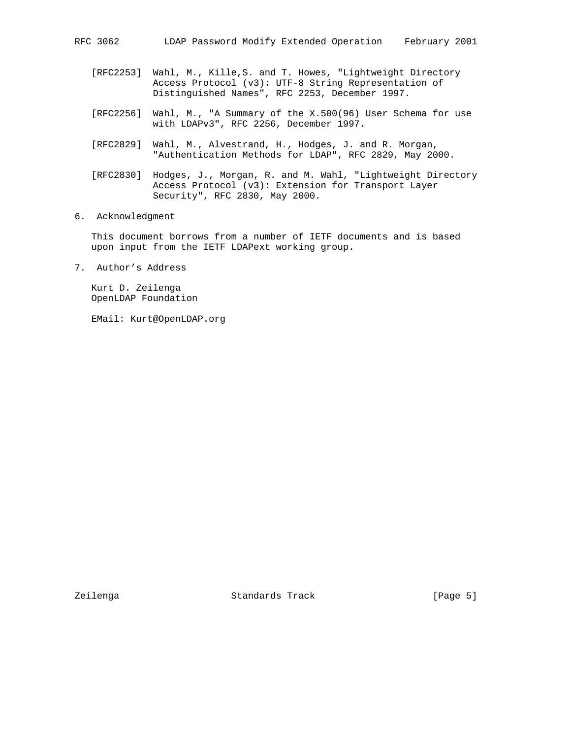- [RFC2253] Wahl, M., Kille,S. and T. Howes, "Lightweight Directory Access Protocol (v3): UTF-8 String Representation of Distinguished Names", RFC 2253, December 1997.
- [RFC2256] Wahl, M., "A Summary of the X.500(96) User Schema for use with LDAPv3", RFC 2256, December 1997.
- [RFC2829] Wahl, M., Alvestrand, H., Hodges, J. and R. Morgan, "Authentication Methods for LDAP", RFC 2829, May 2000.
- [RFC2830] Hodges, J., Morgan, R. and M. Wahl, "Lightweight Directory Access Protocol (v3): Extension for Transport Layer Security", RFC 2830, May 2000.
- 6. Acknowledgment

 This document borrows from a number of IETF documents and is based upon input from the IETF LDAPext working group.

7. Author's Address

 Kurt D. Zeilenga OpenLDAP Foundation

EMail: Kurt@OpenLDAP.org

Zeilenga Standards Track [Page 5]